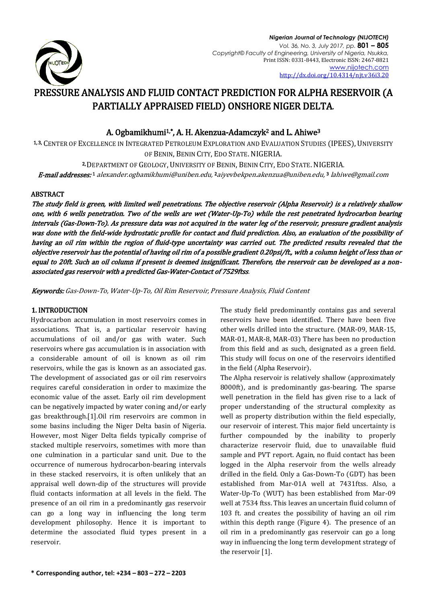

*Nigerian Journal of Technology (NIJOTECH) Vol. 36, No. 3, July 2017, pp.* **801 – 805** *Copyright© Faculty of Engineering, University of Nigeria, Nsukka,*  Print ISSN: 0331-8443, Electronic ISSN: 2467-8821 [www.nijotech.com](http://www.nijotech.com/) <http://dx.doi.org/10.4314/njt.v36i3.20>

# PRESSURE ANALYSIS AND FLUID CONTACT PREDICTION FOR ALPHA RESERVOIR (A PARTIALLY APPRAISED FIELD) ONSHORE NIGER DELTA.

## A. Ogbamikhumi1,\*, A. H. Akenzua-Adamczyk2 and L. Ahiwe<sup>3</sup>

1, 3, CENTER OF EXCELLENCE IN INTEGRATED PETROLEUM EXPLORATION AND EVALUATION STUDIES (IPEES), UNIVERSITY OF BENIN, BENIN CITY, EDO STATE. NIGERIA.

2, DEPARTMENT OF GEOLOGY, UNIVERSITY OF BENIN, BENIN CITY, EDO STATE. NIGERIA. **E-mail addresses: 1** alexander.ogbamikhumi@uniben.edu, <sup>2</sup>[aiyevbekpen.akenzua@uniben.edu,](mailto:aiyevbekpen.akenzua@uniben.edu) <sup>3</sup> [lahiwe@gmail.com](mailto:3%20lahiwe@gmail.com)

## ABSTRACT

The study field is green, with limited well penetrations. The objective reservoir (Alpha Reservoir) is a relatively shallow one, with 6 wells penetration. Two of the wells are wet (Water-Up-To) while the rest penetrated hydrocarbon bearing intervals (Gas-Down-To). As pressure data was not acquired in the water leg of the reservoir, pressure gradient analysis was done with the field-wide hydrostatic profile for contact and fluid prediction. Also, an evaluation of the possibility of having an oil rim within the region of fluid-type uncertainty was carried out. The predicted results revealed that the objective reservoir has the potential of having oil rim of a possible gradient 0.20psi/ft., with a column height of less than or equal to 20ft. Such an oil column if present is deemed insignificant. Therefore, the reservoir can be developed as a nonassociated gas reservoir with a predicted Gas-Water-Contact of 7529ftss.

Keywords: Gas-Down-To, Water-Up-To, Oil Rim Reservoir, Pressure Analysis, Fluid Content

## 1. INTRODUCTION

Hydrocarbon accumulation in most reservoirs comes in associations. That is, a particular reservoir having accumulations of oil and/or gas with water. Such reservoirs where gas accumulation is in association with a considerable amount of oil is known as oil rim reservoirs, while the gas is known as an associated gas. The development of associated gas or oil rim reservoirs requires careful consideration in order to maximize the economic value of the asset. Early oil rim development can be negatively impacted by water coning and/or early gas breakthrough.[1].Oil rim reservoirs are common in some basins including the Niger Delta basin of Nigeria. However, most Niger Delta fields typically comprise of stacked multiple reservoirs, sometimes with more than one culmination in a particular sand unit. Due to the occurrence of numerous hydrocarbon-bearing intervals in these stacked reservoirs, it is often unlikely that an appraisal well down-dip of the structures will provide fluid contacts information at all levels in the field. The presence of an oil rim in a predominantly gas reservoir can go a long way in influencing the long term development philosophy. Hence it is important to determine the associated fluid types present in a reservoir.

The study field predominantly contains gas and several reservoirs have been identified. There have been five other wells drilled into the structure. (MAR-09, MAR-15, MAR-01, MAR-8, MAR-03) There has been no production from this field and as such, designated as a green field. This study will focus on one of the reservoirs identified in the field (Alpha Reservoir).

The Alpha reservoir is relatively shallow (approximately 8000ft), and is predominantly gas-bearing. The sparse well penetration in the field has given rise to a lack of proper understanding of the structural complexity as well as property distribution within the field especially, our reservoir of interest. This major field uncertainty is further compounded by the inability to properly characterize reservoir fluid, due to unavailable fluid sample and PVT report. Again, no fluid contact has been logged in the Alpha reservoir from the wells already drilled in the field. Only a Gas-Down-To (GDT) has been established from Mar-01A well at 7431ftss. Also, a Water-Up-To (WUT) has been established from Mar-09 well at 7534 ftss. This leaves an uncertain fluid column of 103 ft. and creates the possibility of having an oil rim within this depth range (Figure 4). The presence of an oil rim in a predominantly gas reservoir can go a long way in influencing the long term development strategy of the reservoir [1].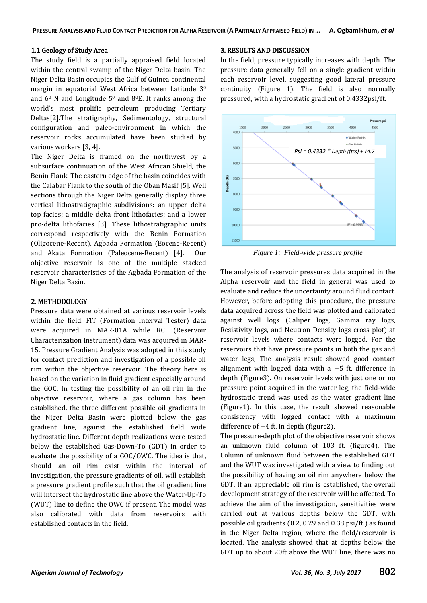#### 1.1 Geology of Study Area

The study field is a partially appraised field located within the central swamp of the Niger Delta basin. The Niger Delta Basin occupies the Gulf of Guinea continental margin in equatorial West Africa between Latitude 3<sup>0</sup> and  $6^{\circ}$  N and Longitude  $5^{\circ}$  and  $8^{\circ}$ E. It ranks among the world's most prolific petroleum producing Tertiary Deltas[2].The stratigraphy, Sedimentology, structural configuration and paleo-environment in which the reservoir rocks accumulated have been studied by various workers [3, 4].

The Niger Delta is framed on the northwest by a subsurface continuation of the West African Shield, the Benin Flank. The eastern edge of the basin coincides with the Calabar Flank to the south of the Oban Masif [5]. Well sections through the Niger Delta generally display three vertical lithostratigraphic subdivisions: an upper delta top facies; a middle delta front lithofacies; and a lower pro-delta lithofacies [3]. These lithostratigraphic units correspond respectively with the Benin Formation (Oligocene-Recent), Agbada Formation (Eocene-Recent) and Akata Formation (Paleocene-Recent) [4]. Our objective reservoir is one of the multiple stacked reservoir characteristics of the Agbada Formation of the Niger Delta Basin.

#### 2. METHODOLOGY

Pressure data were obtained at various reservoir levels within the field. FIT (Formation Interval Tester) data were acquired in MAR-01A while RCI (Reservoir Characterization Instrument) data was acquired in MAR-15. Pressure Gradient Analysis was adopted in this study for contact prediction and investigation of a possible oil rim within the objective reservoir. The theory here is based on the variation in fluid gradient especially around the GOC. In testing the possibility of an oil rim in the objective reservoir, where a gas column has been established, the three different possible oil gradients in the Niger Delta Basin were plotted below the gas gradient line, against the established field wide hydrostatic line. Different depth realizations were tested below the established Gas-Down-To (GDT) in order to evaluate the possibility of a GOC/OWC. The idea is that, should an oil rim exist within the interval of investigation, the pressure gradients of oil, will establish a pressure gradient profile such that the oil gradient line will intersect the hydrostatic line above the Water-Up-To (WUT) line to define the OWC if present. The model was also calibrated with data from reservoirs with established contacts in the field.

## 3. RESULTS AND DISCUSSION

In the field, pressure typically increases with depth. The pressure data generally fell on a single gradient within each reservoir level, suggesting good lateral pressure continuity (Figure 1). The field is also normally pressured, with a hydrostatic gradient of 0.4332psi/ft.



*Figure 1: Field-wide pressure profile*

The analysis of reservoir pressures data acquired in the Alpha reservoir and the field in general was used to evaluate and reduce the uncertainty around fluid contact. However, before adopting this procedure, the pressure data acquired across the field was plotted and calibrated against well logs (Caliper logs, Gamma ray logs, Resistivity logs, and Neutron Density logs cross plot) at reservoir levels where contacts were logged. For the reservoirs that have pressure points in both the gas and water legs, The analysis result showed good contact alignment with logged data with a  $\pm$ 5 ft. difference in depth (Figure3). On reservoir levels with just one or no pressure point acquired in the water leg, the field-wide hydrostatic trend was used as the water gradient line (Figure1). In this case, the result showed reasonable consistency with logged contact with a maximum difference of  $\pm 4$  ft. in depth (figure2).

The pressure-depth plot of the objective reservoir shows an unknown fluid column of 103 ft. (figure4). The Column of unknown fluid between the established GDT and the WUT was investigated with a view to finding out the possibility of having an oil rim anywhere below the GDT. If an appreciable oil rim is established, the overall development strategy of the reservoir will be affected. To achieve the aim of the investigation, sensitivities were carried out at various depths below the GDT, with possible oil gradients (0.2, 0.29 and 0.38 psi/ft.) as found in the Niger Delta region, where the field/reservoir is located. The analysis showed that at depths below the GDT up to about 20ft above the WUT line, there was no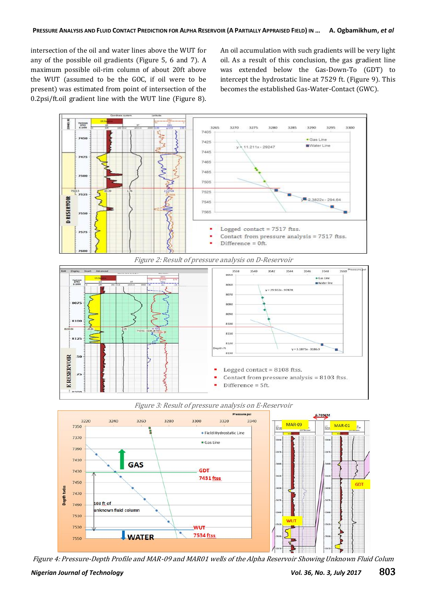intersection of the oil and water lines above the WUT for any of the possible oil gradients (Figure 5, 6 and 7). A maximum possible oil-rim column of about 20ft above the WUT (assumed to be the GOC, if oil were to be present) was estimated from point of intersection of the 0.2psi/ft.oil gradient line with the WUT line (Figure 8).

An oil accumulation with such gradients will be very light oil. As a result of this conclusion, the gas gradient line was extended below the Gas-Down-To (GDT) to intercept the hydrostatic line at 7529 ft. (Figure 9). This becomes the established Gas-Water-Contact (GWC).









Figure 4: Pressure-Depth Profile and MAR-09 and MAR01 wells of the Alpha Reservoir Showing Unknown Fluid Colum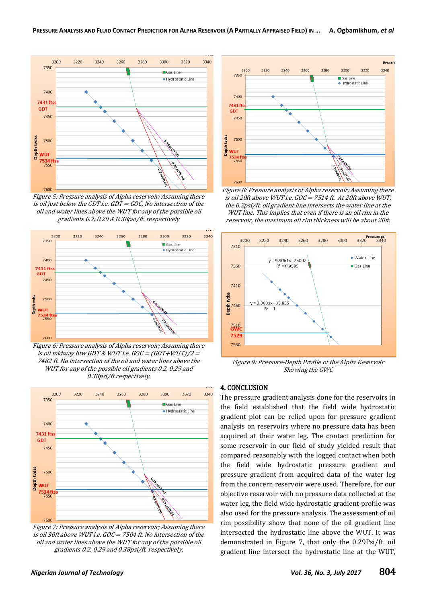

Figure 5: Pressure analysis of Alpha reservoir; Assuming there is oil just below the GDT i.e. GDT = GOC, No intersection of the oil and water lines above the WUT for any of the possible oil gradients 0.2, 0.29 & 0.38psi/ft. respectively



Figure 6: Pressure analysis of Alpha reservoir; Assuming there is oil midway btw GDT & WUT i.e.  $GOC = (GDT+WUT)/2 =$ 7482 ft. No intersection of the oil and water lines above the WUT for any of the possible oil gradients 0.2, 0.29 and 0.38psi/ft.respectively.



Figure 7: Pressure analysis of Alpha reservoir; Assuming there is oil 30ft above WUT i.e. GOC = 7504 ft. No intersection of the oil and water lines above the WUT for any of the possible oil gradients 0.2, 0.29 and 0.38psi/ft. respectively.



Figure 8: Pressure analysis of Alpha reservoir; Assuming there is oil 20ft above WUT i.e. GOC = 7514 ft. At 20ft above WUT, the 0.2psi/ft. oil gradient line intersects the water line at the WUT line. This implies that even if there is an oil rim in the reservoir, the maximum oil rim thickness will be about 20ft.



Figure 9: Pressure-Depth Profile of the Alpha Reservoir Showing the GWC

#### 4. CONCLUSION

The pressure gradient analysis done for the reservoirs in the field established that the field wide hydrostatic gradient plot can be relied upon for pressure gradient analysis on reservoirs where no pressure data has been acquired at their water leg. The contact prediction for some reservoir in our field of study yielded result that compared reasonably with the logged contact when both the field wide hydrostatic pressure gradient and pressure gradient from acquired data of the water leg from the concern reservoir were used. Therefore, for our objective reservoir with no pressure data collected at the water leg, the field wide hydrostatic gradient profile was also used for the pressure analysis. The assessment of oil rim possibility show that none of the oil gradient line intersected the hydrostatic line above the WUT. It was demonstrated in Figure 7, that only the 0.29Psi/ft. oil gradient line intersect the hydrostatic line at the WUT,